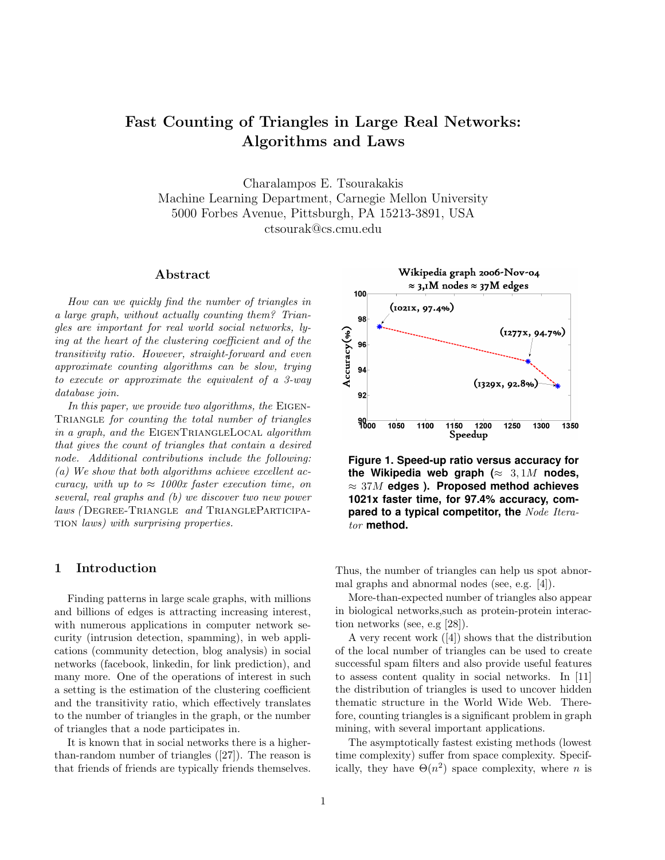# Fast Counting of Triangles in Large Real Networks: Algorithms and Laws

Charalampos E. Tsourakakis Machine Learning Department, Carnegie Mellon University 5000 Forbes Avenue, Pittsburgh, PA 15213-3891, USA ctsourak@cs.cmu.edu

## Abstract

How can we quickly find the number of triangles in a large graph, without actually counting them? Triangles are important for real world social networks, lying at the heart of the clustering coefficient and of the transitivity ratio. However, straight-forward and even approximate counting algorithms can be slow, trying to execute or approximate the equivalent of a 3-way database join.

In this paper, we provide two algorithms, the EIGEN-TRIANGLE for counting the total number of triangles in a graph, and the EIGENTRIANGLELOCAL algorithm that gives the count of triangles that contain a desired node. Additional contributions include the following: (a) We show that both algorithms achieve excellent accuracy, with up to  $\approx$  1000x faster execution time, on several, real graphs and (b) we discover two new power laws (DEGREE-TRIANGLE and TRIANGLEPARTICIPAtion laws) with surprising properties.

# 1 Introduction

Finding patterns in large scale graphs, with millions and billions of edges is attracting increasing interest, with numerous applications in computer network security (intrusion detection, spamming), in web applications (community detection, blog analysis) in social networks (facebook, linkedin, for link prediction), and many more. One of the operations of interest in such a setting is the estimation of the clustering coefficient and the transitivity ratio, which effectively translates to the number of triangles in the graph, or the number of triangles that a node participates in.

It is known that in social networks there is a higherthan-random number of triangles ([27]). The reason is that friends of friends are typically friends themselves.



**Figure 1. Speed-up ratio versus accuracy for the Wikipedia web graph (**≈ 3, 1M **nodes,** ≈ 37M **edges ). Proposed method achieves 1021x faster time, for 97.4% accuracy, compared to a typical competitor, the** Node Iterator **method.**

Thus, the number of triangles can help us spot abnormal graphs and abnormal nodes (see, e.g. [4]).

More-than-expected number of triangles also appear in biological networks,such as protein-protein interaction networks (see, e.g [28]).

A very recent work ([4]) shows that the distribution of the local number of triangles can be used to create successful spam filters and also provide useful features to assess content quality in social networks. In [11] the distribution of triangles is used to uncover hidden thematic structure in the World Wide Web. Therefore, counting triangles is a significant problem in graph mining, with several important applications.

The asymptotically fastest existing methods (lowest time complexity) suffer from space complexity. Specifically, they have  $\Theta(n^2)$  space complexity, where *n* is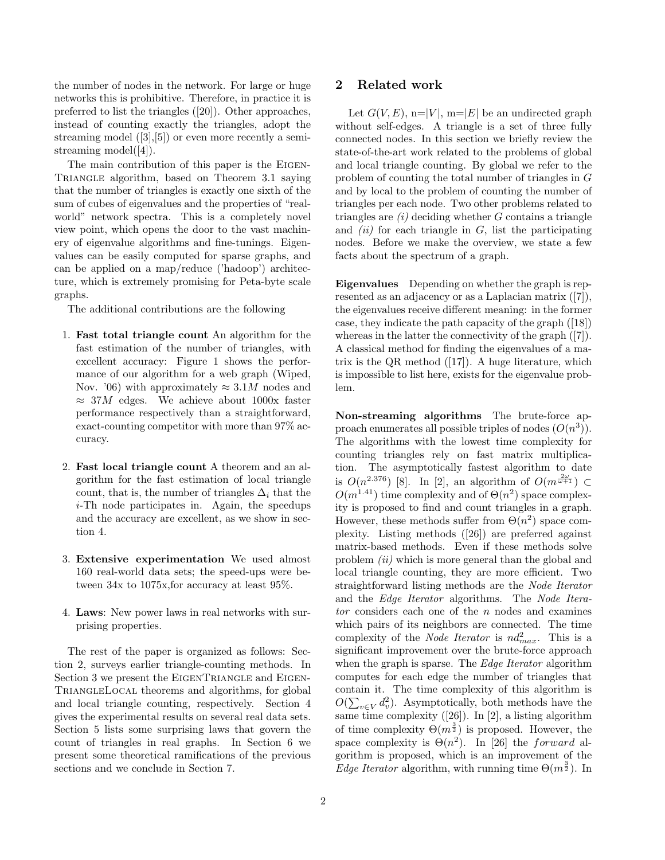the number of nodes in the network. For large or huge networks this is prohibitive. Therefore, in practice it is preferred to list the triangles ([20]). Other approaches, instead of counting exactly the triangles, adopt the streaming model  $([3],[5])$  or even more recently a semistreaming model([4]).

The main contribution of this paper is the EIGEN-TRIANGLE algorithm, based on Theorem 3.1 saying that the number of triangles is exactly one sixth of the sum of cubes of eigenvalues and the properties of "realworld" network spectra. This is a completely novel view point, which opens the door to the vast machinery of eigenvalue algorithms and fine-tunings. Eigenvalues can be easily computed for sparse graphs, and can be applied on a map/reduce ('hadoop') architecture, which is extremely promising for Peta-byte scale graphs.

The additional contributions are the following

- 1. Fast total triangle count An algorithm for the fast estimation of the number of triangles, with excellent accuracy: Figure 1 shows the performance of our algorithm for a web graph (Wiped, Nov. '06) with approximately  $\approx 3.1M$  nodes and  $\approx$  37M edges. We achieve about 1000x faster performance respectively than a straightforward, exact-counting competitor with more than 97% accuracy.
- 2. Fast local triangle count A theorem and an algorithm for the fast estimation of local triangle count, that is, the number of triangles  $\Delta_i$  that the i-Th node participates in. Again, the speedups and the accuracy are excellent, as we show in section 4.
- 3. Extensive experimentation We used almost 160 real-world data sets; the speed-ups were between 34x to 1075x,for accuracy at least 95%.
- 4. Laws: New power laws in real networks with surprising properties.

The rest of the paper is organized as follows: Section 2, surveys earlier triangle-counting methods. In Section 3 we present the EIGENTRIANGLE and EIGEN-TRIANGLELOCAL theorems and algorithms, for global and local triangle counting, respectively. Section 4 gives the experimental results on several real data sets. Section 5 lists some surprising laws that govern the count of triangles in real graphs. In Section 6 we present some theoretical ramifications of the previous sections and we conclude in Section 7.

## 2 Related work

Let  $G(V, E)$ , n=|V|, m=|E| be an undirected graph without self-edges. A triangle is a set of three fully connected nodes. In this section we briefly review the state-of-the-art work related to the problems of global and local triangle counting. By global we refer to the problem of counting the total number of triangles in G and by local to the problem of counting the number of triangles per each node. Two other problems related to triangles are  $(i)$  deciding whether G contains a triangle and  $(ii)$  for each triangle in  $G$ , list the participating nodes. Before we make the overview, we state a few facts about the spectrum of a graph.

Eigenvalues Depending on whether the graph is represented as an adjacency or as a Laplacian matrix ([7]), the eigenvalues receive different meaning: in the former case, they indicate the path capacity of the graph ([18]) whereas in the latter the connectivity of the graph ([7]). A classical method for finding the eigenvalues of a matrix is the QR method  $([17])$ . A huge literature, which is impossible to list here, exists for the eigenvalue problem.

Non-streaming algorithms The brute-force approach enumerates all possible triples of nodes  $(O(n^3))$ . The algorithms with the lowest time complexity for counting triangles rely on fast matrix multiplication. The asymptotically fastest algorithm to date is  $O(n^{2.376})$  [8]. In [2], an algorithm of  $O(m^{\frac{2\omega}{\omega+1}})$   $\subset$  $O(m^{1.41})$  time complexity and of  $\Theta(n^2)$  space complexity is proposed to find and count triangles in a graph. However, these methods suffer from  $\Theta(n^2)$  space complexity. Listing methods ([26]) are preferred against matrix-based methods. Even if these methods solve problem *(ii)* which is more general than the global and local triangle counting, they are more efficient. Two straightforward listing methods are the Node Iterator and the Edge Iterator algorithms. The Node Itera $tor$  considers each one of the  $n$  nodes and examines which pairs of its neighbors are connected. The time complexity of the *Node Iterator* is  $nd_{max}^2$ . This is a significant improvement over the brute-force approach when the graph is sparse. The Edge Iterator algorithm computes for each edge the number of triangles that contain it. The time complexity of this algorithm is  $O(\sum_{v \in V} d_v^2)$ . Asymptotically, both methods have the same time complexity ([26]). In [2], a listing algorithm of time complexity  $\Theta(m^{\frac{3}{2}})$  is proposed. However, the space complexity is  $\Theta(n^2)$ . In [26] the *forward* algorithm is proposed, which is an improvement of the *Edge Iterator* algorithm, with running time  $\Theta(m^{\frac{3}{2}})$ . In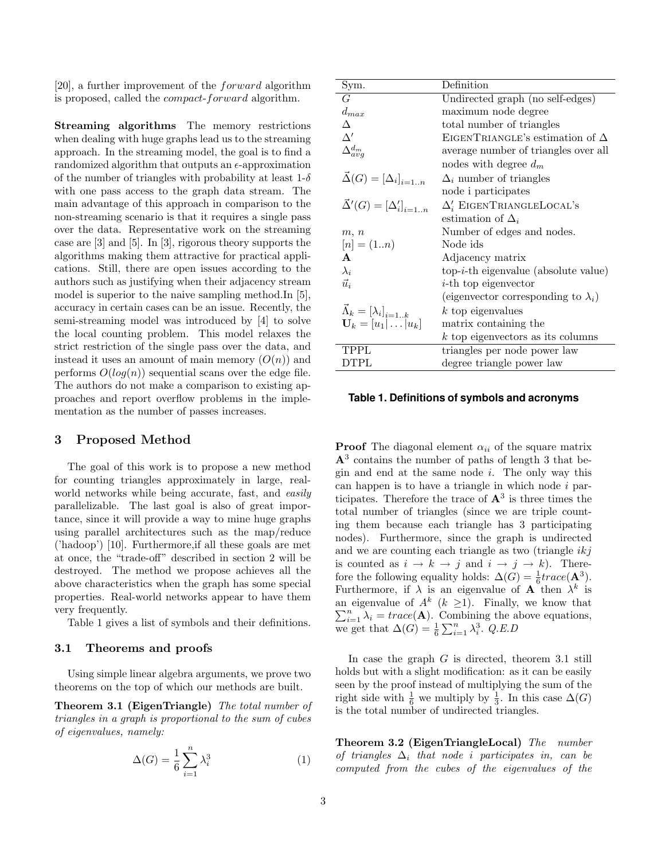[20], a further improvement of the forward algorithm is proposed, called the compact-forward algorithm.

Streaming algorithms The memory restrictions when dealing with huge graphs lead us to the streaming approach. In the streaming model, the goal is to find a randomized algorithm that outputs an  $\epsilon$ -approximation of the number of triangles with probability at least  $1-\delta$ with one pass access to the graph data stream. The main advantage of this approach in comparison to the non-streaming scenario is that it requires a single pass over the data. Representative work on the streaming case are [3] and [5]. In [3], rigorous theory supports the algorithms making them attractive for practical applications. Still, there are open issues according to the authors such as justifying when their adjacency stream model is superior to the naive sampling method.In [5], accuracy in certain cases can be an issue. Recently, the semi-streaming model was introduced by [4] to solve the local counting problem. This model relaxes the strict restriction of the single pass over the data, and instead it uses an amount of main memory  $(O(n))$  and performs  $O(log(n))$  sequential scans over the edge file. The authors do not make a comparison to existing approaches and report overflow problems in the implementation as the number of passes increases.

## 3 Proposed Method

The goal of this work is to propose a new method for counting triangles approximately in large, realworld networks while being accurate, fast, and easily parallelizable. The last goal is also of great importance, since it will provide a way to mine huge graphs using parallel architectures such as the map/reduce ('hadoop') [10]. Furthermore,if all these goals are met at once, the "trade-off" described in section 2 will be destroyed. The method we propose achieves all the above characteristics when the graph has some special properties. Real-world networks appear to have them very frequently.

Table 1 gives a list of symbols and their definitions.

#### 3.1 Theorems and proofs

Using simple linear algebra arguments, we prove two theorems on the top of which our methods are built.

Theorem 3.1 (EigenTriangle) The total number of triangles in a graph is proportional to the sum of cubes of eigenvalues, namely:

$$
\Delta(G) = \frac{1}{6} \sum_{i=1}^{n} \lambda_i^3 \tag{1}
$$

| Sym.                                    | Definition                                  |  |
|-----------------------------------------|---------------------------------------------|--|
| G                                       | Undirected graph (no self-edges)            |  |
| $d_{max}$                               | maximum node degree                         |  |
| Δ                                       | total number of triangles                   |  |
| $\Delta'$                               | EIGENTRIANGLE's estimation of $\Delta$      |  |
| $\Delta^{d_m}_{avg}$                    | average number of triangles over all        |  |
|                                         | nodes with degree $d_m$                     |  |
| $\vec{\Delta}(G) = [\Delta_i]_{i=1n}$   | $\Delta_i$ number of triangles              |  |
|                                         | node i participates                         |  |
| $\vec{\Delta}'(G) = [\Delta'_i]_{i=1n}$ | $\Delta'_{i}$ EIGENTRIANGLELOCAL's          |  |
|                                         | estimation of $\Delta_i$                    |  |
| m, n                                    | Number of edges and nodes.                  |  |
| $[n] = (1n)$                            | Node ids                                    |  |
| A                                       | Adjacency matrix                            |  |
| $\lambda_i$                             | $top-i-th$ eigenvalue (absolute value)      |  |
| $\vec{u}_i$                             | <i>i</i> -th top eigenvector                |  |
|                                         | (eigenvector corresponding to $\lambda_i$ ) |  |
| $\vec{\Lambda}_k = [\lambda_i]_{i=1k}$  | $k$ top eigenvalues                         |  |
| $\mathbf{U}_k = [u_1   \dots   u_k]$    | matrix containing the                       |  |
|                                         | $k$ top eigenvectors as its columns         |  |
| TPPL                                    | triangles per node power law                |  |
| <b>DTPL</b>                             | degree triangle power law                   |  |

## **Table 1. Definitions of symbols and acronyms**

**Proof** The diagonal element  $\alpha_{ii}$  of the square matrix  $A<sup>3</sup>$  contains the number of paths of length 3 that begin and end at the same node  $i$ . The only way this can happen is to have a triangle in which node  $i$  participates. Therefore the trace of  $\mathbf{A}^3$  is three times the total number of triangles (since we are triple counting them because each triangle has 3 participating nodes). Furthermore, since the graph is undirected and we are counting each triangle as two (triangle  $ikj$ is counted as  $i \to k \to j$  and  $i \to j \to k$ ). Therefore the following equality holds:  $\Delta(G) = \frac{1}{6}trace(\mathbf{A}^3)$ . Furthermore, if  $\lambda$  is an eigenvalue of **A** then  $\lambda^k$  is an eigenvalue of  $A^k$  ( $k \geq 1$ ). Finally, we know that  $\sum_{i=1}^{n} \lambda_i = trace(\mathbf{A}).$  Combining the above equations, we get that  $\Delta(G) = \frac{1}{6} \sum_{i=1}^{n} \lambda_i^3$ . Q.E.D

In case the graph  $G$  is directed, theorem 3.1 still holds but with a slight modification: as it can be easily seen by the proof instead of multiplying the sum of the right side with  $\frac{1}{6}$  we multiply by  $\frac{1}{3}$ . In this case  $\Delta(G)$ is the total number of undirected triangles.

Theorem 3.2 (EigenTriangleLocal) The number of triangles  $\Delta_i$  that node i participates in, can be computed from the cubes of the eigenvalues of the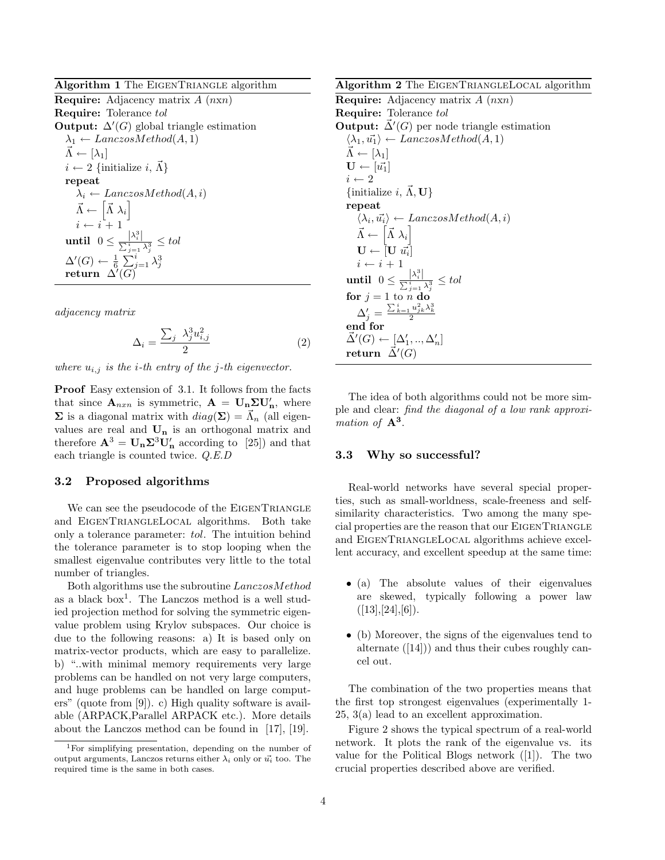Algorithm 1 The EIGENTRIANGLE algorithm

**Require:** Adjacency matrix  $A$  ( $nxn$ ) Require: Tolerance tol **Output:**  $\Delta'(G)$  global triangle estimation  $\lambda_1 \leftarrow \text{LanczosMethod}(A, 1)$  $\vec{\Lambda} \leftarrow [\lambda_1]$  $i \leftarrow 2$  {initialize i,  $\vec{\Lambda}$ } repeat  $\lambda_i \leftarrow$  LanczosMethod $(A, i)$  $\vec{\Lambda} \leftarrow \begin{bmatrix} \vec{\Lambda} \lambda_i \end{bmatrix}$  $i \leftarrow i + 1$ until  $0 \leq \frac{|\lambda_i^3|}{\sum_i^n}$  $\frac{|\alpha_i|}{\sum_{j=1}^i \lambda_j^3} \leq tol$  $\Delta'(G) \leftarrow \frac{1}{6} \sum_{j=1}^i \lambda_j^3 \ \text{return } \Delta'(G)$ 

adjacency matrix

$$
\Delta_i = \frac{\sum_j \lambda_j^3 u_{i,j}^2}{2} \tag{2}
$$

where  $u_{i,j}$  is the *i*-th entry of the *j*-th eigenvector.

Proof Easy extension of 3.1. It follows from the facts that since  $\mathbf{A}_{nxn}$  is symmetric,  $\mathbf{A} = \mathbf{U}_n \Sigma \mathbf{U}'_n$ , where  $\Sigma$  is a diagonal matrix with  $diag(\Sigma) = \vec{\Lambda}_n$  (all eigenvalues are real and  $\mathbf{U_{n}}$  is an orthogonal matrix and therefore  $\mathbf{A}^3 = \mathbf{U}_n \Sigma^3 \mathbf{U}'_n$  according to [25]) and that each triangle is counted twice. Q.E.D

## 3.2 Proposed algorithms

We can see the pseudocode of the EIGENTRIANGLE and EigenTriangleLocal algorithms. Both take only a tolerance parameter: tol. The intuition behind the tolerance parameter is to stop looping when the smallest eigenvalue contributes very little to the total number of triangles.

Both algorithms use the subroutine LanczosMethod as a black box<sup>1</sup> . The Lanczos method is a well studied projection method for solving the symmetric eigenvalue problem using Krylov subspaces. Our choice is due to the following reasons: a) It is based only on matrix-vector products, which are easy to parallelize. b) "..with minimal memory requirements very large problems can be handled on not very large computers, and huge problems can be handled on large computers" (quote from [9]). c) High quality software is available (ARPACK,Parallel ARPACK etc.). More details about the Lanczos method can be found in [17], [19].

Algorithm 2 The EIGENTRIANGLELOCAL algorithm

**Require:** Adjacency matrix  $A$  ( $n \times n$ ) Require: Tolerance tol **Output:**  $\vec{\Delta}'(G)$  per node triangle estimation  $\langle \lambda_1, \vec{u_1} \rangle \leftarrow LanczosMethod(A, 1)$  $\vec{\Lambda} \leftarrow [\lambda_1]$  $\mathbf{U} \leftarrow [\vec{u_1}]$  $i\leftarrow 2$ {initialize i,  $\vec{\Lambda}$ , U} repeat  $\langle \lambda_i, \vec{u_i} \rangle \leftarrow LanczosMethod(A, i)$  $\vec{\Lambda} \leftarrow \begin{bmatrix} \vec{\Lambda} \lambda_i \end{bmatrix}$  $\mathbf{U} \leftarrow \left[\mathbf{U} \; \vec{u_i}\right]$  $i \leftarrow i + 1$ until  $0 \leq \frac{|\lambda_i^3|}{\sum_i^3}$  $\frac{|\alpha_i|}{\sum_{j=1}^i \lambda_j^3} \leq tol$ for  $j = 1$  to n do  $\Delta_j' = \frac{\sum_{k=1}^i u_{jk}^2 \lambda_k^3}{2}$ end for  $\vec{\Delta}'(G) \leftarrow [\Delta'_1, ..., \Delta'_n]$  $\mathsf{return} \ \ \vec\Delta'(G)$ 

The idea of both algorithms could not be more simple and clear: find the diagonal of a low rank approximation of  $A^3$ .

#### 3.3 Why so successful?

Real-world networks have several special properties, such as small-worldness, scale-freeness and selfsimilarity characteristics. Two among the many special properties are the reason that our EIGENTRIANGLE and EigenTriangleLocal algorithms achieve excellent accuracy, and excellent speedup at the same time:

- (a) The absolute values of their eigenvalues are skewed, typically following a power law  $([13], [24], [6]).$
- (b) Moreover, the signs of the eigenvalues tend to alternate ([14])) and thus their cubes roughly cancel out.

The combination of the two properties means that the first top strongest eigenvalues (experimentally 1- 25, 3(a) lead to an excellent approximation.

Figure 2 shows the typical spectrum of a real-world network. It plots the rank of the eigenvalue vs. its value for the Political Blogs network ([1]). The two crucial properties described above are verified.

<sup>1</sup>For simplifying presentation, depending on the number of output arguments, Lanczos returns either  $\lambda_i$  only or  $\vec{u_i}$  too. The required time is the same in both cases.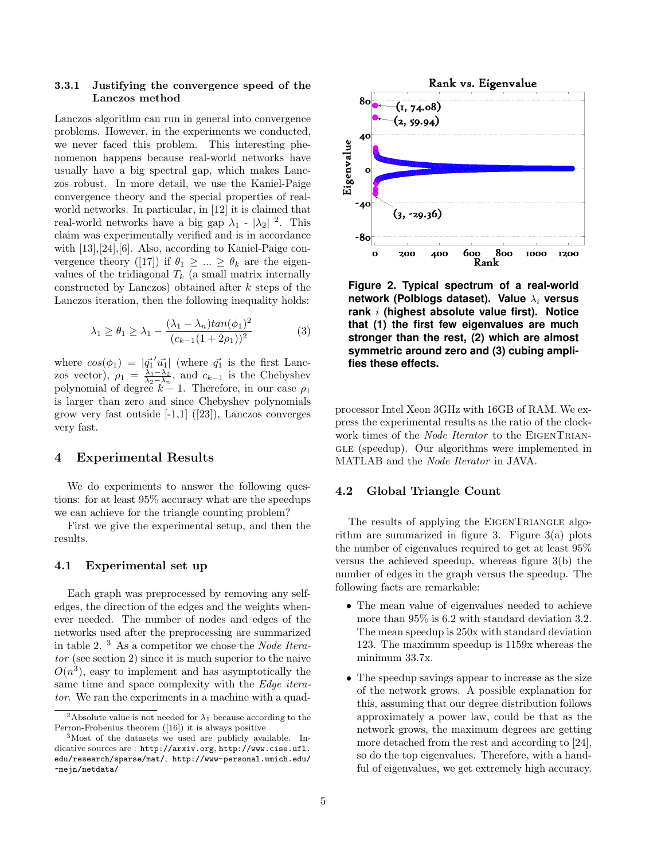## 3.3.1 Justifying the convergence speed of the Lanczos method

Lanczos algorithm can run in general into convergence problems. However, in the experiments we conducted, we never faced this problem. This interesting phenomenon happens because real-world networks have usually have a big spectral gap, which makes Lanczos robust. In more detail, we use the Kaniel-Paige convergence theory and the special properties of realworld networks. In particular, in [12] it is claimed that real-world networks have a big gap  $\lambda_1$  -  $|\lambda_2|$  <sup>2</sup>. This claim was experimentally verified and is in accordance with [13], [24], [6]. Also, according to Kaniel-Paige convergence theory ([17]) if  $\theta_1 \geq ... \geq \theta_k$  are the eigenvalues of the tridiagonal  $T_k$  (a small matrix internally constructed by Lanczos) obtained after  $k$  steps of the Lanczos iteration, then the following inequality holds:

$$
\lambda_1 \ge \theta_1 \ge \lambda_1 - \frac{(\lambda_1 - \lambda_n)\tan(\phi_1)^2}{(c_{k-1}(1+2\rho_1))^2} \tag{3}
$$

where  $cos(\phi_1) = |\vec{q_1}'\vec{u_1}|$  (where  $\vec{q_1}$  is the first Lanczos vector),  $\rho_1 = \frac{\lambda_1 - \lambda_2}{\lambda_2 - \lambda_n}$ , and  $c_{k-1}$  is the Chebyshev polynomial of degree  $k-1$ . Therefore, in our case  $\rho_1$ is larger than zero and since Chebyshev polynomials grow very fast outside  $[-1,1]$   $([23])$ , Lanczos converges very fast.

## 4 Experimental Results

We do experiments to answer the following questions: for at least 95% accuracy what are the speedups we can achieve for the triangle counting problem?

First we give the experimental setup, and then the results.

## 4.1 Experimental set up

Each graph was preprocessed by removing any selfedges, the direction of the edges and the weights whenever needed. The number of nodes and edges of the networks used after the preprocessing are summarized in table 2. <sup>3</sup> As a competitor we chose the Node Iterator (see section 2) since it is much superior to the naive  $O(n^3)$ , easy to implement and has asymptotically the same time and space complexity with the Edge iterator. We ran the experiments in a machine with a quad-



**Figure 2. Typical spectrum of a real-world network (Polblogs dataset). Value**  $λ<sub>i</sub>$  **versus rank** i **(highest absolute value first). Notice that (1) the first few eigenvalues are much stronger than the rest, (2) which are almost symmetric around zero and (3) cubing amplifies these effects.**

processor Intel Xeon 3GHz with 16GB of RAM. We express the experimental results as the ratio of the clockwork times of the Node Iterator to the EIGENTRIAN-GLE (speedup). Our algorithms were implemented in MATLAB and the Node Iterator in JAVA.

## 4.2 Global Triangle Count

The results of applying the EIGENTRIANGLE algorithm are summarized in figure 3. Figure 3(a) plots the number of eigenvalues required to get at least 95% versus the achieved speedup, whereas figure 3(b) the number of edges in the graph versus the speedup. The following facts are remarkable:

- The mean value of eigenvalues needed to achieve more than 95% is 6.2 with standard deviation 3.2. The mean speedup is 250x with standard deviation 123. The maximum speedup is 1159x whereas the minimum 33.7x.
- The speedup savings appear to increase as the size of the network grows. A possible explanation for this, assuming that our degree distribution follows approximately a power law, could be that as the network grows, the maximum degrees are getting more detached from the rest and according to [24], so do the top eigenvalues. Therefore, with a handful of eigenvalues, we get extremely high accuracy.

<sup>&</sup>lt;sup>2</sup>Absolute value is not needed for  $\lambda_1$  because according to the Perron-Frobenius theorem ([16]) it is always positive

<sup>3</sup>Most of the datasets we used are publicly available. Indicative sources are : http://arxiv.org, http://www.cise.ufl. edu/research/sparse/mat/, http://www-personal.umich.edu/ ~mejn/netdata/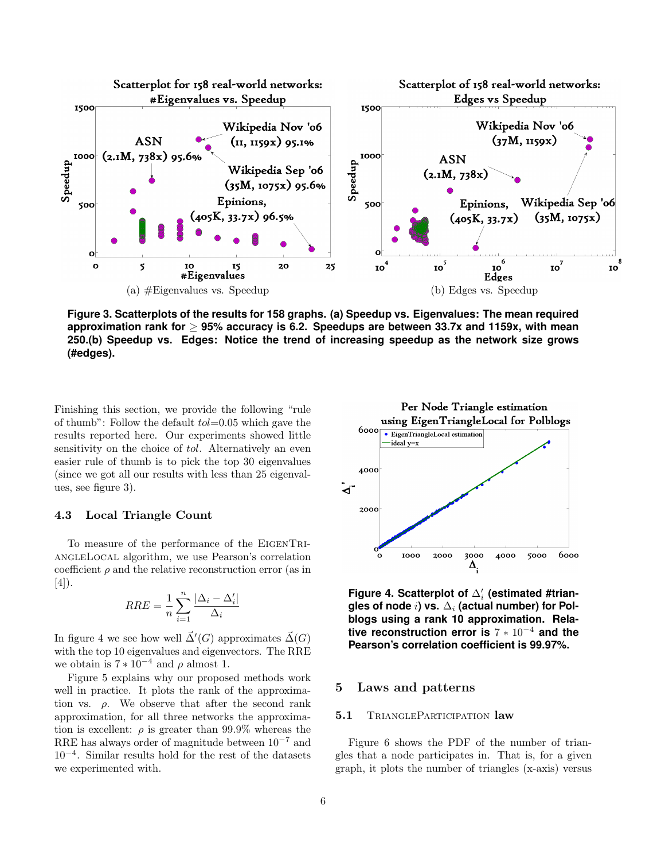

**Figure 3. Scatterplots of the results for 158 graphs. (a) Speedup vs. Eigenvalues: The mean required approximation rank for** ≥ **95% accuracy is 6.2. Speedups are between 33.7x and 1159x, with mean 250.(b) Speedup vs. Edges: Notice the trend of increasing speedup as the network size grows (#edges).**

Finishing this section, we provide the following "rule of thumb": Follow the default  $tol=0.05$  which gave the results reported here. Our experiments showed little sensitivity on the choice of *tol*. Alternatively an even easier rule of thumb is to pick the top 30 eigenvalues (since we got all our results with less than 25 eigenvalues, see figure 3).

#### 4.3 Local Triangle Count

To measure of the performance of the EigenTriangleLocal algorithm, we use Pearson's correlation coefficient  $\rho$  and the relative reconstruction error (as in [4]).

$$
RRE = \frac{1}{n} \sum_{i=1}^{n} \frac{|\Delta_i - \Delta'_i|}{\Delta_i}
$$

In figure 4 we see how well  $\vec{\Delta}'(G)$  approximates  $\vec{\Delta}(G)$ with the top 10 eigenvalues and eigenvectors. The RRE we obtain is  $7 * 10^{-4}$  and  $\rho$  almost 1.

Figure 5 explains why our proposed methods work well in practice. It plots the rank of the approximation vs.  $\rho$ . We observe that after the second rank approximation, for all three networks the approximation is excellent:  $\rho$  is greater than 99.9% whereas the RRE has always order of magnitude between  $10^{-7}$  and 10<sup>−</sup><sup>4</sup> . Similar results hold for the rest of the datasets we experimented with.



**Figure 4. Scatterplot of**  $\Delta'_{i}$  **(estimated #trian**gles of node *i*) vs.  $\Delta_i$  (actual number) for Pol**blogs using a rank 10 approximation. Relative reconstruction error is** 7 ∗ 10<sup>−</sup><sup>4</sup> **and the Pearson's correlation coefficient is 99.97%.**

# 5 Laws and patterns

#### 5.1 TRIANGLEPARTICIPATION law

Figure 6 shows the PDF of the number of triangles that a node participates in. That is, for a given graph, it plots the number of triangles (x-axis) versus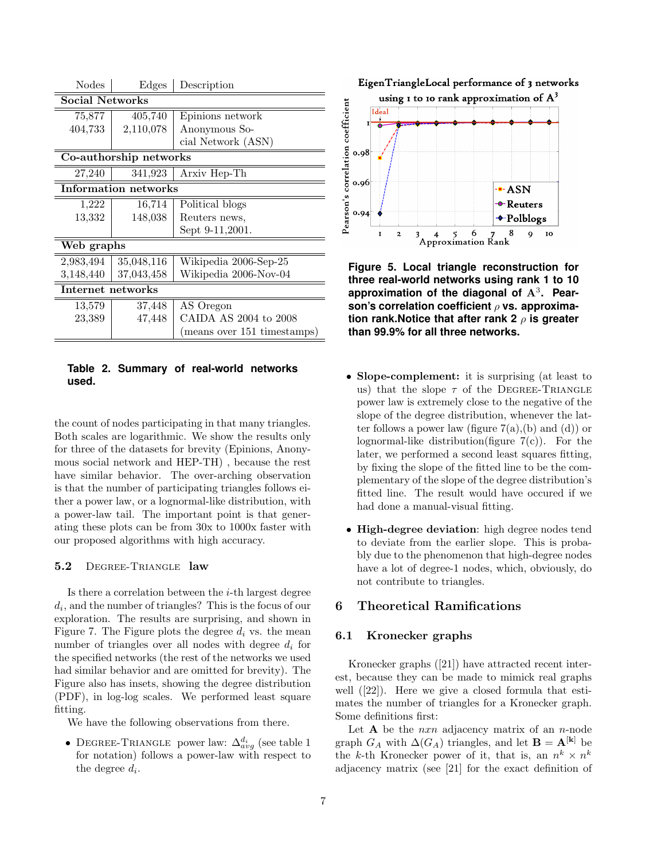| <b>Nodes</b>           | Edges      | Description                 |  |
|------------------------|------------|-----------------------------|--|
| <b>Social Networks</b> |            |                             |  |
| 75,877                 | 405,740    | Epinions network            |  |
| 404,733                | 2,110,078  | Anonymous So-               |  |
|                        |            | cial Network (ASN)          |  |
| Co-authorship networks |            |                             |  |
| 27,240                 | 341,923    | Arxiv Hep-Th                |  |
| Information networks   |            |                             |  |
| 1,222                  | 16,714     | Political blogs             |  |
| 13,332                 | 148,038    | Reuters news,               |  |
|                        |            | Sept 9-11,2001.             |  |
| Web graphs             |            |                             |  |
| 2,983,494              | 35,048,116 | Wikipedia 2006-Sep-25       |  |
| 3,148,440              | 37,043,458 | Wikipedia 2006-Nov-04       |  |
| Internet networks      |            |                             |  |
| 13,579                 | 37,448     | AS Oregon                   |  |
| 23,389                 | 47,448     | CAIDA AS 2004 to 2008       |  |
|                        |            | (means over 151 timestamps) |  |

**Table 2. Summary of real-world networks used.**

the count of nodes participating in that many triangles. Both scales are logarithmic. We show the results only for three of the datasets for brevity (Epinions, Anonymous social network and HEP-TH) , because the rest have similar behavior. The over-arching observation is that the number of participating triangles follows either a power law, or a lognormal-like distribution, with a power-law tail. The important point is that generating these plots can be from 30x to 1000x faster with our proposed algorithms with high accuracy.

#### 5.2 DEGREE-TRIANGLE law

Is there a correlation between the  $i$ -th largest degree  $d_i$ , and the number of triangles? This is the focus of our exploration. The results are surprising, and shown in Figure 7. The Figure plots the degree  $d_i$  vs. the mean number of triangles over all nodes with degree  $d_i$  for the specified networks (the rest of the networks we used had similar behavior and are omitted for brevity). The Figure also has insets, showing the degree distribution (PDF), in log-log scales. We performed least square fitting.

We have the following observations from there.

• DEGREE-TRIANGLE power law:  $\Delta_{avg}^{d_i}$  (see table 1 for notation) follows a power-law with respect to the degree  $d_i$ .





**Figure 5. Local triangle reconstruction for three real-world networks using rank 1 to 10** approximation of the diagonal of  $A<sup>3</sup>$ . Pear**son's correlation coefficient** ρ **vs. approximation rank.Notice that after rank 2** ρ **is greater than 99.9% for all three networks.**

- Slope-complement: it is surprising (at least to us) that the slope  $\tau$  of the DEGREE-TRIANGLE power law is extremely close to the negative of the slope of the degree distribution, whenever the latter follows a power law (figure  $7(a)$ , (b) and (d)) or lognormal-like distribution(figure  $7(c)$ ). For the later, we performed a second least squares fitting, by fixing the slope of the fitted line to be the complementary of the slope of the degree distribution's fitted line. The result would have occured if we had done a manual-visual fitting.
- High-degree deviation: high degree nodes tend to deviate from the earlier slope. This is probably due to the phenomenon that high-degree nodes have a lot of degree-1 nodes, which, obviously, do not contribute to triangles.

# 6 Theoretical Ramifications

## 6.1 Kronecker graphs

Kronecker graphs ([21]) have attracted recent interest, because they can be made to mimick real graphs well ([22]). Here we give a closed formula that estimates the number of triangles for a Kronecker graph. Some definitions first:

Let  $A$  be the *nxn* adjacency matrix of an *n*-node graph  $G_A$  with  $\Delta(G_A)$  triangles, and let  $\mathbf{B} = \mathbf{A}^{[\mathbf{k}]}$  be the k-th Kronecker power of it, that is, an  $n^k \times n^k$ adjacency matrix (see [21] for the exact definition of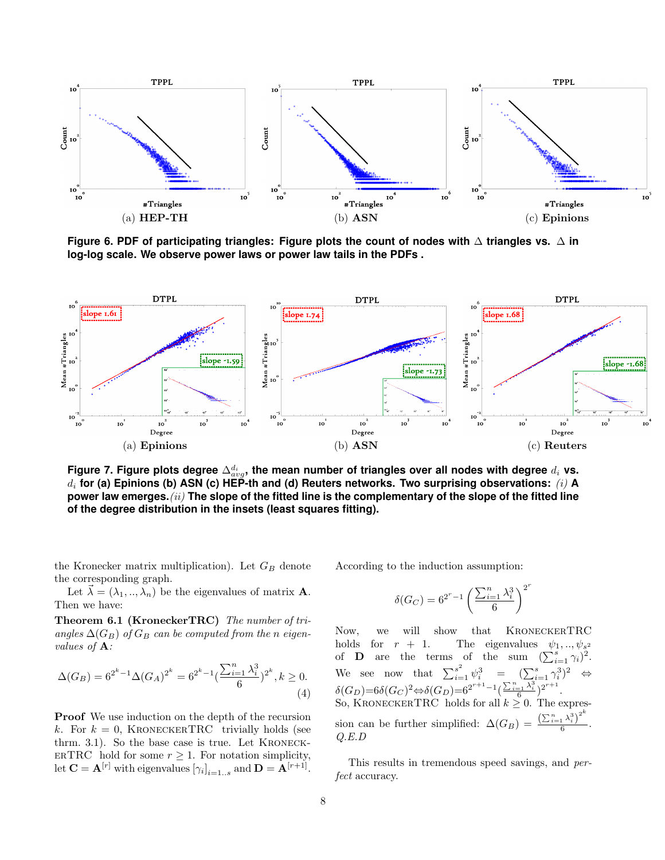

**Figure 6. PDF of participating triangles: Figure plots the count of nodes with** ∆ **triangles vs.** ∆ **in log-log scale. We observe power laws or power law tails in the PDFs .**



Figure 7. Figure plots degree  $\Delta^{d_i}_{avg}$ , the mean number of triangles over all nodes with degree  $d_i$  vs.  $d_i$  for (a) Epinions (b) ASN (c) HEP-th and (d) Reuters networks. Two surprising observations: (i) A **power law emerges.**(ii) **The slope of the fitted line is the complementary of the slope of the fitted line of the degree distribution in the insets (least squares fitting).**

the Kronecker matrix multiplication). Let  $G_B$  denote the corresponding graph.

Let  $\vec{\lambda} = (\lambda_1, ..., \lambda_n)$  be the eigenvalues of matrix **A**. Then we have:

Theorem 6.1 (KroneckerTRC) The number of triangles  $\Delta(G_B)$  of  $G_B$  can be computed from the n eigenvalues of A:

$$
\Delta(G_B) = 6^{2^k - 1} \Delta(G_A)^{2^k} = 6^{2^k - 1} \left(\frac{\sum_{i=1}^n \lambda_i^3}{6}\right)^{2^k}, k \ge 0.
$$
\n(4)

Proof We use induction on the depth of the recursion k. For  $k = 0$ , KRONECKERTRC trivially holds (see thrm. 3.1). So the base case is true. Let KRONECK-ERTRC hold for some  $r \geq 1$ . For notation simplicity, let  $\mathbf{C} = \mathbf{A}^{[r]}$  with eigenvalues  $[\gamma_i]_{i=1...s}$  and  $\mathbf{D} = \mathbf{A}^{[r+1]}$ .

According to the induction assumption:

$$
\delta(G_C) = 6^{2^r - 1} \left(\frac{\sum_{i=1}^n \lambda_i^3}{6}\right)^{2^r}
$$

Now, we will show that KroneckerTRC holds for  $r + 1$ . The eigenvalues  $\psi_1, ..., \psi_{s^2}$ <br>of **D** are the terms of the sum  $(\sum_{i=1}^s \gamma_i)^2$ . We see now that  $\sum_{i=1}^{s^2} \psi_i^3 = (\sum_{i=1}^s \gamma_i^3)^2 \Leftrightarrow$  $\delta(G_D) = 6\delta(G_C)^2 \Leftrightarrow \delta(G_D) = 6^{2^{r+1}-1} \left(\frac{\sum_{i=1}^n \lambda_i^3}{6}\right)^{2^{r+1}}.$ So, KRONECKERTRC holds for all  $k \geq 0$ . The expression can be further simplified:  $\Delta(G_B) = \frac{\left(\sum_{i=1}^n \lambda_i^3\right)^2}{6}$  $\frac{1-\gamma_i}{6}$ . Q.E.D

This results in tremendous speed savings, and perfect accuracy.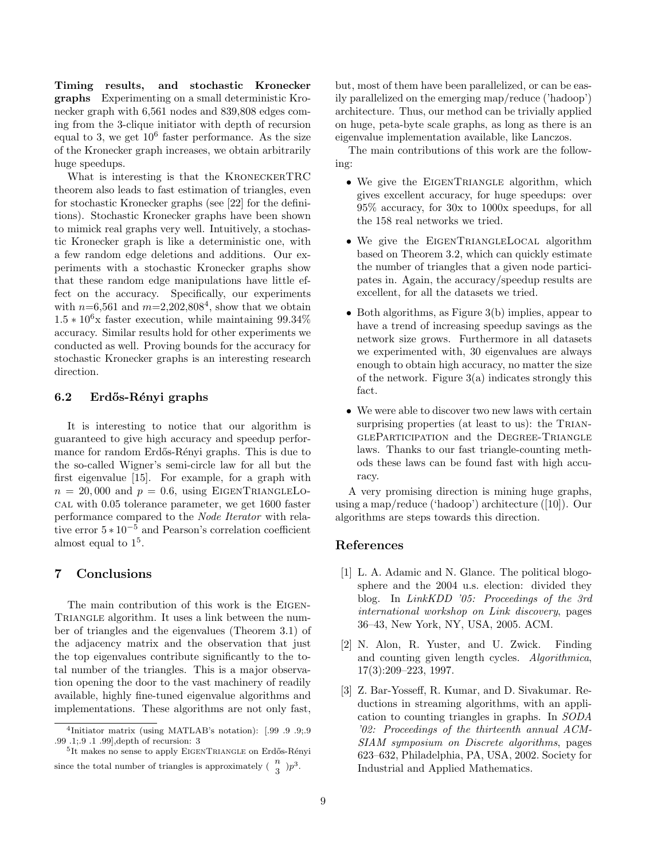Timing results, and stochastic Kronecker graphs Experimenting on a small deterministic Kronecker graph with 6,561 nodes and 839,808 edges coming from the 3-clique initiator with depth of recursion equal to 3, we get  $10^6$  faster performance. As the size of the Kronecker graph increases, we obtain arbitrarily huge speedups.

What is interesting is that the KroneckerTRC theorem also leads to fast estimation of triangles, even for stochastic Kronecker graphs (see [22] for the definitions). Stochastic Kronecker graphs have been shown to mimick real graphs very well. Intuitively, a stochastic Kronecker graph is like a deterministic one, with a few random edge deletions and additions. Our experiments with a stochastic Kronecker graphs show that these random edge manipulations have little effect on the accuracy. Specifically, our experiments with  $n=6,561$  and  $m=2,202,808^4$ , show that we obtain  $1.5 * 10^6$ x faster execution, while maintaining 99.34% accuracy. Similar results hold for other experiments we conducted as well. Proving bounds for the accuracy for stochastic Kronecker graphs is an interesting research direction.

## 6.2 Erdős-Rényi graphs

It is interesting to notice that our algorithm is guaranteed to give high accuracy and speedup performance for random Erdős-Rényi graphs. This is due to the so-called Wigner's semi-circle law for all but the first eigenvalue [15]. For example, for a graph with  $n = 20,000$  and  $p = 0.6$ , using EIGENTRIANGLELOcal with 0.05 tolerance parameter, we get 1600 faster performance compared to the Node Iterator with relative error  $5 * 10^{-5}$  and Pearson's correlation coefficient almost equal to  $1<sup>5</sup>$ .

## 7 Conclusions

The main contribution of this work is the Eigen-TRIANGLE algorithm. It uses a link between the number of triangles and the eigenvalues (Theorem 3.1) of the adjacency matrix and the observation that just the top eigenvalues contribute significantly to the total number of the triangles. This is a major observation opening the door to the vast machinery of readily available, highly fine-tuned eigenvalue algorithms and implementations. These algorithms are not only fast,

but, most of them have been parallelized, or can be easily parallelized on the emerging map/reduce ('hadoop') architecture. Thus, our method can be trivially applied on huge, peta-byte scale graphs, as long as there is an eigenvalue implementation available, like Lanczos.

The main contributions of this work are the following:

- We give the EIGENTRIANGLE algorithm, which gives excellent accuracy, for huge speedups: over 95% accuracy, for 30x to 1000x speedups, for all the 158 real networks we tried.
- We give the EIGENTRIANGLELOCAL algorithm based on Theorem 3.2, which can quickly estimate the number of triangles that a given node participates in. Again, the accuracy/speedup results are excellent, for all the datasets we tried.
- Both algorithms, as Figure 3(b) implies, appear to have a trend of increasing speedup savings as the network size grows. Furthermore in all datasets we experimented with, 30 eigenvalues are always enough to obtain high accuracy, no matter the size of the network. Figure 3(a) indicates strongly this fact.
- We were able to discover two new laws with certain surprising properties (at least to us): the TRIANgleParticipation and the Degree-Triangle laws. Thanks to our fast triangle-counting methods these laws can be found fast with high accuracy.

A very promising direction is mining huge graphs, using a map/reduce ('hadoop') architecture ([10]). Our algorithms are steps towards this direction.

## References

- [1] L. A. Adamic and N. Glance. The political blogosphere and the 2004 u.s. election: divided they blog. In LinkKDD '05: Proceedings of the 3rd international workshop on Link discovery, pages 36–43, New York, NY, USA, 2005. ACM.
- [2] N. Alon, R. Yuster, and U. Zwick. Finding and counting given length cycles. Algorithmica, 17(3):209–223, 1997.
- [3] Z. Bar-Yosseff, R. Kumar, and D. Sivakumar. Reductions in streaming algorithms, with an application to counting triangles in graphs. In SODA '02: Proceedings of the thirteenth annual ACM-SIAM symposium on Discrete algorithms, pages 623–632, Philadelphia, PA, USA, 2002. Society for Industrial and Applied Mathematics.

<sup>4</sup> Initiator matrix (using MATLAB's notation): [.99 .9 .9;.9 .99 .1;.9 .1 .99],depth of recursion: 3

<sup>&</sup>lt;sup>5</sup>It makes no sense to apply EIGENTRIANGLE on Erdős-Rényi since the total number of triangles is approximately  $\left(\begin{array}{c} n \\ 3 \end{array}\right) p^3$ .